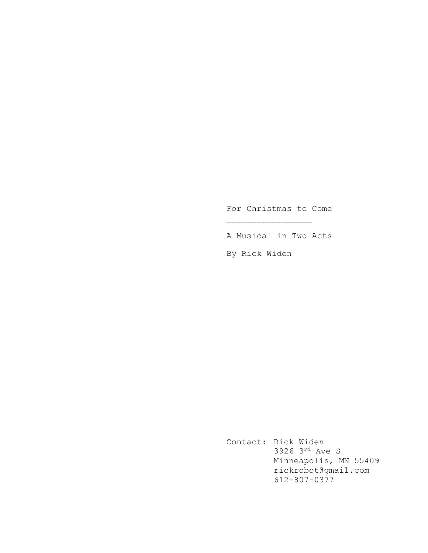For Christmas to Come

\_\_\_\_\_\_\_\_\_\_\_\_\_\_\_\_\_

A Musical in Two Acts

By Rick Widen

Contact: Rick Widen 3926 3rd Ave S Minneapolis, MN 55409 rickrobot@gmail.com 612-807-0377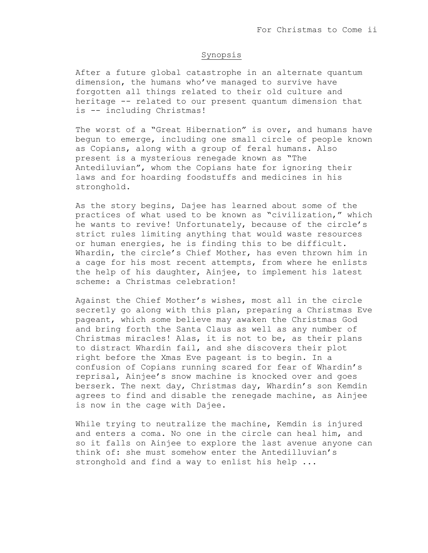# Synopsis

After a future global catastrophe in an alternate quantum dimension, the humans who've managed to survive have forgotten all things related to their old culture and heritage -- related to our present quantum dimension that is -- including Christmas!

The worst of a "Great Hibernation" is over, and humans have begun to emerge, including one small circle of people known as Copians, along with a group of feral humans. Also present is a mysterious renegade known as "The Antediluvian", whom the Copians hate for ignoring their laws and for hoarding foodstuffs and medicines in his stronghold.

As the story begins, Dajee has learned about some of the practices of what used to be known as "civilization," which he wants to revive! Unfortunately, because of the circle's strict rules limiting anything that would waste resources or human energies, he is finding this to be difficult. Whardin, the circle's Chief Mother, has even thrown him in a cage for his most recent attempts, from where he enlists the help of his daughter, Ainjee, to implement his latest scheme: a Christmas celebration!

Against the Chief Mother's wishes, most all in the circle secretly go along with this plan, preparing a Christmas Eve pageant, which some believe may awaken the Christmas God and bring forth the Santa Claus as well as any number of Christmas miracles! Alas, it is not to be, as their plans to distract Whardin fail, and she discovers their plot right before the Xmas Eve pageant is to begin. In a confusion of Copians running scared for fear of Whardin's reprisal, Ainjee's snow machine is knocked over and goes berserk. The next day, Christmas day, Whardin's son Kemdin agrees to find and disable the renegade machine, as Ainjee is now in the cage with Dajee.

While trying to neutralize the machine, Kemdin is injured and enters a coma. No one in the circle can heal him, and so it falls on Ainjee to explore the last avenue anyone can think of: she must somehow enter the Antedilluvian's stronghold and find a way to enlist his help ...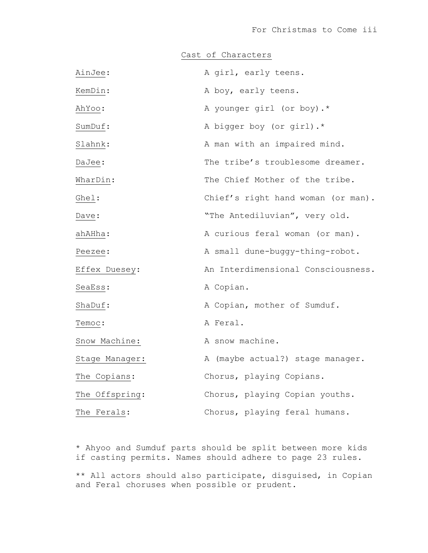Cast of Characters

| AinJee:        | A girl, early teens.               |
|----------------|------------------------------------|
| KemDin:        | A boy, early teens.                |
| AhYoo:         | A younger girl (or boy).*          |
| SumDuf:        | A bigger boy (or girl).*           |
| Slahnk:        | A man with an impaired mind.       |
| DaJee:         | The tribe's troublesome dreamer.   |
| WharDin:       | The Chief Mother of the tribe.     |
| Ghel:          | Chief's right hand woman (or man). |
| Dave:          | "The Antediluvian", very old.      |
| ahAHha:        | A curious feral woman (or man).    |
| Peezee:        | A small dune-buggy-thing-robot.    |
| Effex Duesey:  | An Interdimensional Consciousness. |
| SeaEss:        | A Copian.                          |
| ShaDuf:        | A Copian, mother of Sumduf.        |
| Temoc:         | A Feral.                           |
| Snow Machine:  | A snow machine.                    |
| Stage Manager: | A (maybe actual?) stage manager.   |
| The Copians:   | Chorus, playing Copians.           |
| The Offspring: | Chorus, playing Copian youths.     |
| The Ferals:    | Chorus, playing feral humans.      |

\* Ahyoo and Sumduf parts should be split between more kids if casting permits. Names should adhere to page 23 rules.

\*\* All actors should also participate, disguised, in Copian and Feral choruses when possible or prudent.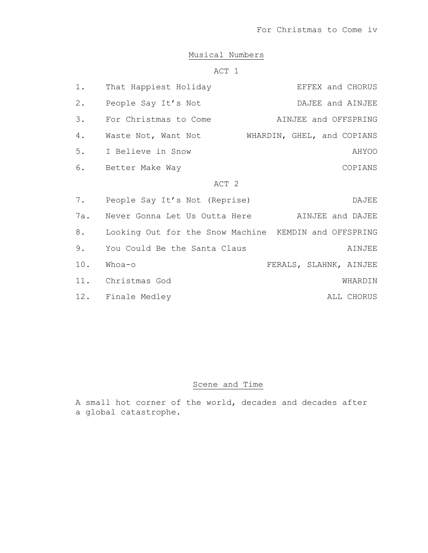# Musical Numbers

# ACT 1

| $1$ .            | That Happiest Holiday                                 | EFFEX and CHORUS       |  |  |  |
|------------------|-------------------------------------------------------|------------------------|--|--|--|
| $2$ .            | People Say It's Not                                   | DAJEE and AINJEE       |  |  |  |
| 3.               | For Christmas to Come                                 | AINJEE and OFFSPRING   |  |  |  |
| 4.               | Waste Not, Want Not WHARDIN, GHEL, and COPIANS        |                        |  |  |  |
| 5.               | I Believe in Snow                                     | AHYOO                  |  |  |  |
| 6.               | Better Make Way                                       | COPIANS                |  |  |  |
| ACT <sub>2</sub> |                                                       |                        |  |  |  |
| 7.               | People Say It's Not (Reprise)                         | DAJEE                  |  |  |  |
| 7a.              | Never Gonna Let Us Outta Here AINJEE and DAJEE        |                        |  |  |  |
| 8.               | Looking Out for the Snow Machine KEMDIN and OFFSPRING |                        |  |  |  |
| 9.               | You Could Be the Santa Claus                          | AINJEE                 |  |  |  |
| 10.              | Whoa-o                                                | FERALS, SLAHNK, AINJEE |  |  |  |
|                  | 11. Christmas God                                     | WHARDIN                |  |  |  |
|                  | 12. Finale Medley                                     | ALL CHORUS             |  |  |  |

# Scene and Time

A small hot corner of the world, decades and decades after a global catastrophe.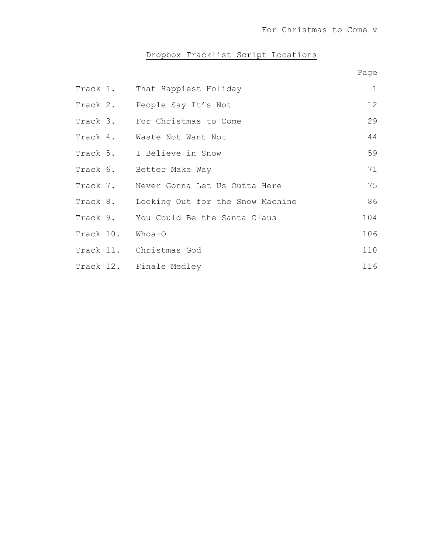# Dropbox Tracklist Script Locations

|  |                                           | Page         |
|--|-------------------------------------------|--------------|
|  | Track 1. That Happiest Holiday            | $\mathbf{1}$ |
|  | Track 2. People Say It's Not              | 12           |
|  | Track 3. For Christmas to Come            | 29           |
|  | Track 4. Waste Not Want Not               | 44           |
|  | Track 5. I Believe in Snow                | 59           |
|  | Track 6. Better Make Way                  | 71           |
|  | Track 7. Never Gonna Let Us Outta Here    | 75           |
|  | Track 8. Looking Out for the Snow Machine | 86           |
|  | Track 9. You Could Be the Santa Claus     | 104          |
|  | Track 10. Whoa-O                          | 106          |
|  | Track 11. Christmas God                   | 110          |
|  | Track 12. Finale Medley                   | 116          |
|  |                                           |              |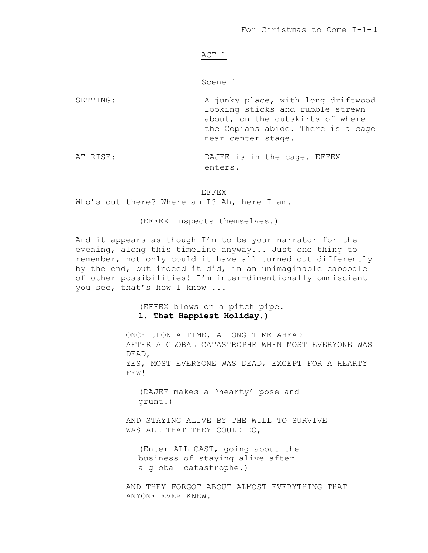# ACT 1

# Scene 1

SETTING: A junky place, with long driftwood looking sticks and rubble strewn about, on the outskirts of where the Copians abide. There is a cage near center stage.

AT RISE: DAJEE is in the cage. EFFEX enters.

# EFFEX

Who's out there? Where am I? Ah, here I am.

(EFFEX inspects themselves.)

And it appears as though I'm to be your narrator for the evening, along this timeline anyway... Just one thing to remember, not only could it have all turned out differently by the end, but indeed it did, in an unimaginable caboodle of other possibilities! I'm inter-dimentionally omniscient you see, that's how I know ...

> (EFFEX blows on a pitch pipe. **1. That Happiest Holiday.)**

ONCE UPON A TIME, A LONG TIME AHEAD AFTER A GLOBAL CATASTROPHE WHEN MOST EVERYONE WAS DEAD, YES, MOST EVERYONE WAS DEAD, EXCEPT FOR A HEARTY FEW!

(DAJEE makes a 'hearty' pose and grunt.)

AND STAYING ALIVE BY THE WILL TO SURVIVE WAS ALL THAT THEY COULD DO,

(Enter ALL CAST, going about the business of staying alive after a global catastrophe.)

AND THEY FORGOT ABOUT ALMOST EVERYTHING THAT ANYONE EVER KNEW.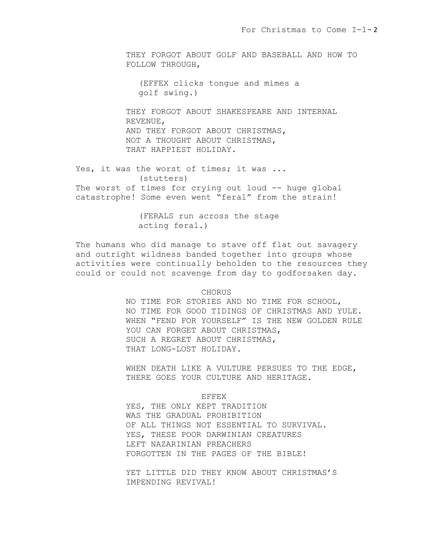THEY FORGOT ABOUT GOLF AND BASEBALL AND HOW TO FOLLOW THROUGH,

(EFFEX clicks tongue and mimes a golf swing.)

THEY FORGOT ABOUT SHAKESPEARE AND INTERNAL REVENUE, AND THEY FORGOT ABOUT CHRISTMAS, NOT A THOUGHT ABOUT CHRISTMAS, THAT HAPPIEST HOLIDAY.

Yes, it was the worst of times; it was ... (stutters) The worst of times for crying out loud -- huge global catastrophe! Some even went "feral" from the strain!

> (FERALS run across the stage acting feral.)

The humans who did manage to stave off flat out savagery and outright wildness banded together into groups whose activities were continually beholden to the resources they could or could not scavenge from day to godforsaken day.

CHORUS

NO TIME FOR STORIES AND NO TIME FOR SCHOOL, NO TIME FOR GOOD TIDINGS OF CHRISTMAS AND YULE. WHEN "FEND FOR YOURSELF" IS THE NEW GOLDEN RULE YOU CAN FORGET ABOUT CHRISTMAS, SUCH A REGRET ABOUT CHRISTMAS, THAT LONG-LOST HOLIDAY.

WHEN DEATH LIKE A VULTURE PERSUES TO THE EDGE, THERE GOES YOUR CULTURE AND HERITAGE.

EFFEX

YES, THE ONLY KEPT TRADITION WAS THE GRADUAL PROHIBITION OF ALL THINGS NOT ESSENTIAL TO SURVIVAL. YES, THESE POOR DARWINIAN CREATURES LEFT NAZARINIAN PREACHERS FORGOTTEN IN THE PAGES OF THE BIBLE!

YET LITTLE DID THEY KNOW ABOUT CHRISTMAS'S IMPENDING REVIVAL!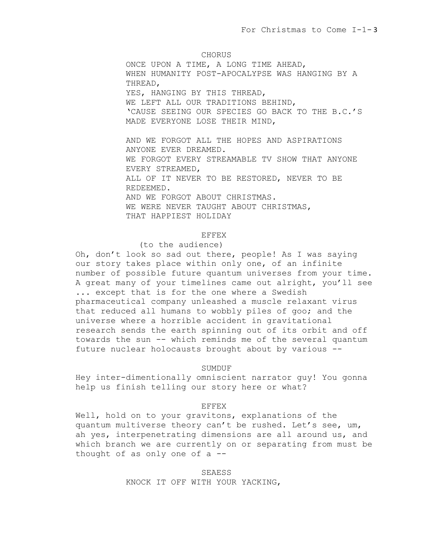CHORUS

ONCE UPON A TIME, A LONG TIME AHEAD, WHEN HUMANITY POST-APOCALYPSE WAS HANGING BY A THREAD, YES, HANGING BY THIS THREAD, WE LEFT ALL OUR TRADITIONS BEHIND, 'CAUSE SEEING OUR SPECIES GO BACK TO THE B.C.'S MADE EVERYONE LOSE THEIR MIND,

AND WE FORGOT ALL THE HOPES AND ASPIRATIONS ANYONE EVER DREAMED. WE FORGOT EVERY STREAMABLE TV SHOW THAT ANYONE EVERY STREAMED, ALL OF IT NEVER TO BE RESTORED, NEVER TO BE REDEEMED. AND WE FORGOT ABOUT CHRISTMAS. WE WERE NEVER TAUGHT ABOUT CHRISTMAS, THAT HAPPIEST HOLIDAY

# EFFEX

# (to the audience)

Oh, don't look so sad out there, people! As I was saying our story takes place within only one, of an infinite number of possible future quantum universes from your time. A great many of your timelines came out alright, you'll see ... except that is for the one where a Swedish pharmaceutical company unleashed a muscle relaxant virus that reduced all humans to wobbly piles of goo; and the universe where a horrible accident in gravitational research sends the earth spinning out of its orbit and off towards the sun -- which reminds me of the several quantum future nuclear holocausts brought about by various --

# SUMDUF

Hey inter-dimentionally omniscient narrator guy! You gonna help us finish telling our story here or what?

#### EFFEX

Well, hold on to your gravitons, explanations of the quantum multiverse theory can't be rushed. Let's see, um, ah yes, interpenetrating dimensions are all around us, and which branch we are currently on or separating from must be thought of as only one of  $a$  --

> SEAESS KNOCK IT OFF WITH YOUR YACKING,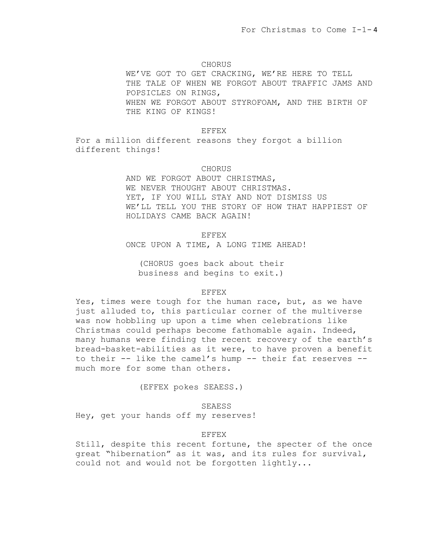### CHORUS

WE'VE GOT TO GET CRACKING, WE'RE HERE TO TELL THE TALE OF WHEN WE FORGOT ABOUT TRAFFIC JAMS AND POPSICLES ON RINGS, WHEN WE FORGOT ABOUT STYROFOAM, AND THE BIRTH OF THE KING OF KINGS!

# EFFEX

For a million different reasons they forgot a billion different things!

# CHORUS

AND WE FORGOT ABOUT CHRISTMAS, WE NEVER THOUGHT ABOUT CHRISTMAS. YET, IF YOU WILL STAY AND NOT DISMISS US WE'LL TELL YOU THE STORY OF HOW THAT HAPPIEST OF HOLIDAYS CAME BACK AGAIN!

EFFEX

ONCE UPON A TIME, A LONG TIME AHEAD!

(CHORUS goes back about their business and begins to exit.)

# EFFEX

Yes, times were tough for the human race, but, as we have just alluded to, this particular corner of the multiverse was now hobbling up upon a time when celebrations like Christmas could perhaps become fathomable again. Indeed, many humans were finding the recent recovery of the earth's bread-basket-abilities as it were, to have proven a benefit to their -- like the camel's hump -- their fat reserves - much more for some than others.

(EFFEX pokes SEAESS.)

SEAESS

Hey, get your hands off my reserves!

# EFFEX

Still, despite this recent fortune, the specter of the once great "hibernation" as it was, and its rules for survival, could not and would not be forgotten lightly...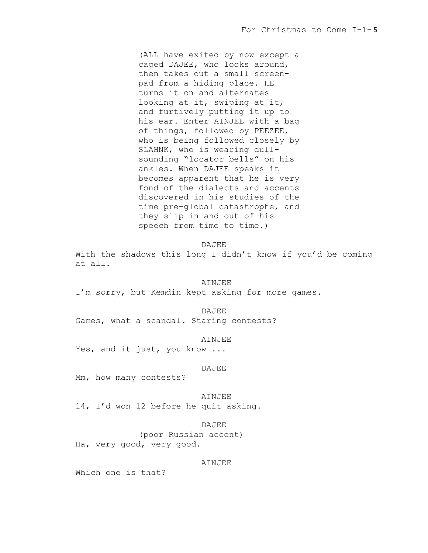(ALL have exited by now except a caged DAJEE, who looks around, then takes out a small screenpad from a hiding place. HE turns it on and alternates looking at it, swiping at it, and furtively putting it up to his ear. Enter AINJEE with a bag of things, followed by PEEZEE, who is being followed closely by SLAHNK, who is wearing dullsounding "locator bells" on his ankles. When DAJEE speaks it becomes apparent that he is very fond of the dialects and accents discovered in his studies of the time pre-global catastrophe, and they slip in and out of his speech from time to time.)

DAJEE

With the shadows this long I didn't know if you'd be coming at all.

### AINJEE

I'm sorry, but Kemdin kept asking for more games.

DAJEE

Games, what a scandal. Staring contests?

#### AINJEE

Yes, and it just, you know ...

### DAJEE

Mm, how many contests?

#### AINJEE

14, I'd won 12 before he quit asking.

#### DAJEE

(poor Russian accent) Ha, very good, very good.

# AINJEE

Which one is that?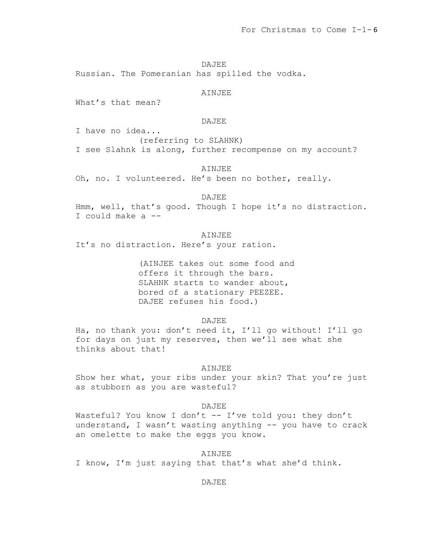DAJEE

Russian. The Pomeranian has spilled the vodka.

# AINJEE

What's that mean?

### DAJEE

I have no idea...

(referring to SLAHNK) I see Slahnk is along, further recompense on my account?

AINJEE

Oh, no. I volunteered. He's been no bother, really.

DAJEE Hmm, well, that's good. Though I hope it's no distraction. I could make a --

AINJEE It's no distraction. Here's your ration.

> (AINJEE takes out some food and offers it through the bars. SLAHNK starts to wander about, bored of a stationary PEEZEE. DAJEE refuses his food.)

> > DAJEE

Ha, no thank you: don't need it, I'll go without! I'll go for days on just my reserves, then we'll see what she thinks about that!

#### AINJEE

Show her what, your ribs under your skin? That you're just as stubborn as you are wasteful?

### DAJEE

Wasteful? You know I don't  $--$  I've told you: they don't understand, I wasn't wasting anything -- you have to crack an omelette to make the eggs you know.

# AINJEE

I know, I'm just saying that that's what she'd think.

DAJEE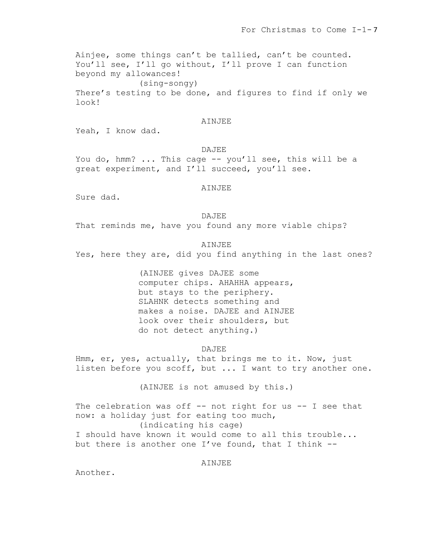Ainjee, some things can't be tallied, can't be counted. You'll see, I'll go without, I'll prove I can function beyond my allowances! (sing-songy) There's testing to be done, and figures to find if only we look!

### AINJEE

Yeah, I know dad.

# DAJEE

You do, hmm? ... This cage -- you'll see, this will be a great experiment, and I'll succeed, you'll see.

AINJEE

Sure dad.

### DAJEE

That reminds me, have you found any more viable chips?

AINJEE

Yes, here they are, did you find anything in the last ones?

(AINJEE gives DAJEE some computer chips. AHAHHA appears, but stays to the periphery. SLAHNK detects something and makes a noise. DAJEE and AINJEE look over their shoulders, but do not detect anything.)

# DAJEE

Hmm, er, yes, actually, that brings me to it. Now, just listen before you scoff, but ... I want to try another one.

(AINJEE is not amused by this.)

The celebration was off  $-$ - not right for us  $-$ - I see that now: a holiday just for eating too much, (indicating his cage) I should have known it would come to all this trouble... but there is another one I've found, that I think --

# AINJEE

Another.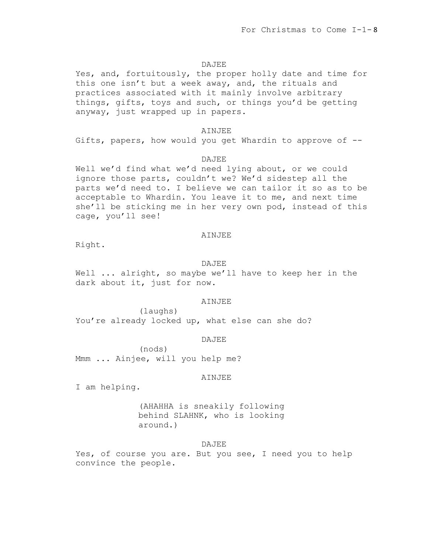### DAJEE

Yes, and, fortuitously, the proper holly date and time for this one isn't but a week away, and, the rituals and practices associated with it mainly involve arbitrary things, gifts, toys and such, or things you'd be getting anyway, just wrapped up in papers.

# AINJEE

Gifts, papers, how would you get Whardin to approve of --

# DAJEE

Well we'd find what we'd need lying about, or we could ignore those parts, couldn't we? We'd sidestep all the parts we'd need to. I believe we can tailor it so as to be acceptable to Whardin. You leave it to me, and next time she'll be sticking me in her very own pod, instead of this cage, you'll see!

### AINJEE

Right.

#### DAJEE

Well ... alright, so maybe we'll have to keep her in the dark about it, just for now.

# AINJEE

(laughs) You're already locked up, what else can she do?

# DAJEE

(nods) Mmm ... Ainjee, will you help me?

#### AINJEE

I am helping.

(AHAHHA is sneakily following behind SLAHNK, who is looking around.)

# DAJEE

Yes, of course you are. But you see, I need you to help convince the people.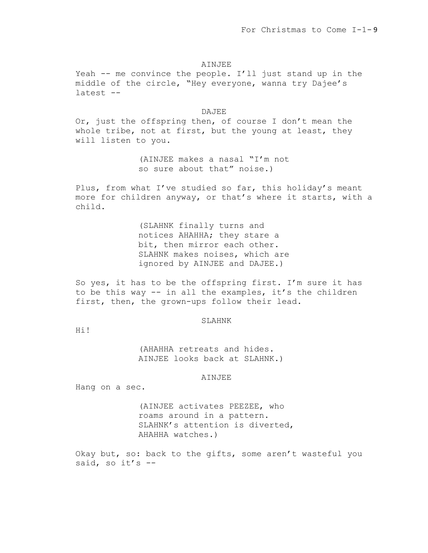#### AINJEE

Yeah -- me convince the people. I'll just stand up in the middle of the circle, "Hey everyone, wanna try Dajee's latest --

### DAJEE

Or, just the offspring then, of course I don't mean the whole tribe, not at first, but the young at least, they will listen to you.

> (AINJEE makes a nasal "I'm not so sure about that" noise.)

Plus, from what I've studied so far, this holiday's meant more for children anyway, or that's where it starts, with a child.

> (SLAHNK finally turns and notices AHAHHA; they stare a bit, then mirror each other. SLAHNK makes noises, which are ignored by AINJEE and DAJEE.)

So yes, it has to be the offspring first. I'm sure it has to be this way -- in all the examples, it's the children first, then, the grown-ups follow their lead.

#### SLAHNK

Hi!

(AHAHHA retreats and hides. AINJEE looks back at SLAHNK.)

#### AINJEE

Hang on a sec.

(AINJEE activates PEEZEE, who roams around in a pattern. SLAHNK's attention is diverted, AHAHHA watches.)

Okay but, so: back to the gifts, some aren't wasteful you said, so it's  $-$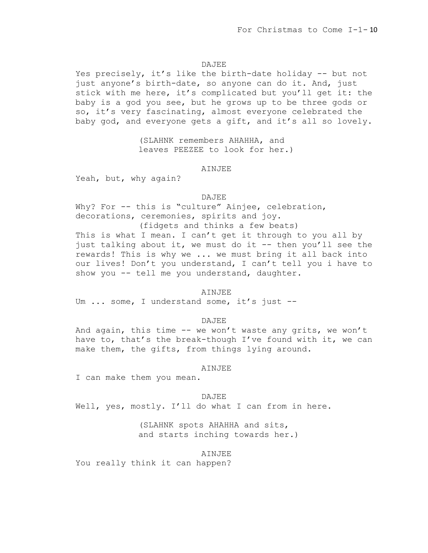### DAJEE

Yes precisely, it's like the birth-date holiday -- but not just anyone's birth-date, so anyone can do it. And, just stick with me here, it's complicated but you'll get it: the baby is a god you see, but he grows up to be three gods or so, it's very fascinating, almost everyone celebrated the baby god, and everyone gets a gift, and it's all so lovely.

> (SLAHNK remembers AHAHHA, and leaves PEEZEE to look for her.)

### AINJEE

Yeah, but, why again?

### DAJEE

Why? For -- this is "culture" Ainjee, celebration, decorations, ceremonies, spirits and joy. (fidgets and thinks a few beats) This is what I mean. I can't get it through to you all by

just talking about it, we must do it -- then you'll see the rewards! This is why we ... we must bring it all back into our lives! Don't you understand, I can't tell you i have to show you -- tell me you understand, daughter.

### AINJEE

Um ... some, I understand some, it's just --

#### DAJEE

And again, this time -- we won't waste any grits, we won't have to, that's the break-though I've found with it, we can make them, the gifts, from things lying around.

#### AINJEE

I can make them you mean.

#### DAJEE

Well, yes, mostly. I'll do what I can from in here.

# (SLAHNK spots AHAHHA and sits, and starts inching towards her.)

### AINJEE

You really think it can happen?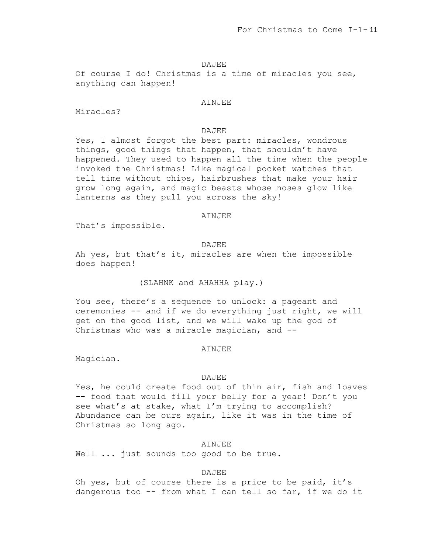## DAJEE

Of course I do! Christmas is a time of miracles you see, anything can happen!

### AINJEE

Miracles?

# DAJEE

Yes, I almost forgot the best part: miracles, wondrous things, good things that happen, that shouldn't have happened. They used to happen all the time when the people invoked the Christmas! Like magical pocket watches that tell time without chips, hairbrushes that make your hair grow long again, and magic beasts whose noses glow like lanterns as they pull you across the sky!

### AINJEE

That's impossible.

### DAJEE

Ah yes, but that's it, miracles are when the impossible does happen!

# (SLAHNK and AHAHHA play.)

You see, there's a sequence to unlock: a pageant and ceremonies -- and if we do everything just right, we will get on the good list, and we will wake up the god of Christmas who was a miracle magician, and --

# AINJEE

Magician.

#### DAJEE

Yes, he could create food out of thin air, fish and loaves -- food that would fill your belly for a year! Don't you see what's at stake, what I'm trying to accomplish? Abundance can be ours again, like it was in the time of Christmas so long ago.

# AINJEE

Well ... just sounds too good to be true.

# DAJEE

Oh yes, but of course there is a price to be paid, it's dangerous too -- from what I can tell so far, if we do it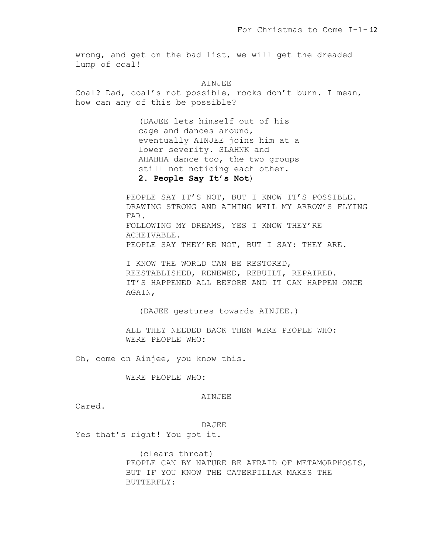wrong, and get on the bad list, we will get the dreaded lump of coal!

AINJEE

Coal? Dad, coal's not possible, rocks don't burn. I mean, how can any of this be possible?

> (DAJEE lets himself out of his cage and dances around, eventually AINJEE joins him at a lower severity. SLAHNK and AHAHHA dance too, the two groups still not noticing each other. **2. People Say It's Not**)

PEOPLE SAY IT'S NOT, BUT I KNOW IT'S POSSIBLE. DRAWING STRONG AND AIMING WELL MY ARROW'S FLYING FAR. FOLLOWING MY DREAMS, YES I KNOW THEY'RE ACHEIVABLE. PEOPLE SAY THEY'RE NOT, BUT I SAY: THEY ARE.

I KNOW THE WORLD CAN BE RESTORED, REESTABLISHED, RENEWED, REBUILT, REPAIRED. IT'S HAPPENED ALL BEFORE AND IT CAN HAPPEN ONCE AGAIN,

(DAJEE gestures towards AINJEE.)

ALL THEY NEEDED BACK THEN WERE PEOPLE WHO: WERE PEOPLE WHO:

Oh, come on Ainjee, you know this.

WERE PEOPLE WHO:

AINJEE

Cared.

DAJEE

Yes that's right! You got it.

(clears throat) PEOPLE CAN BY NATURE BE AFRAID OF METAMORPHOSIS, BUT IF YOU KNOW THE CATERPILLAR MAKES THE BUTTERFLY: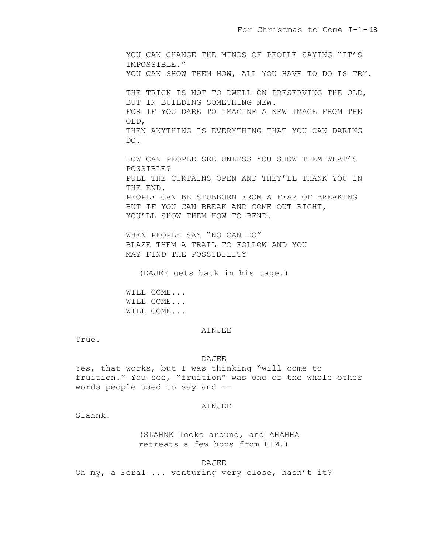YOU CAN CHANGE THE MINDS OF PEOPLE SAYING "IT'S IMPOSSIBLE." YOU CAN SHOW THEM HOW, ALL YOU HAVE TO DO IS TRY. THE TRICK IS NOT TO DWELL ON PRESERVING THE OLD, BUT IN BUILDING SOMETHING NEW. FOR IF YOU DARE TO IMAGINE A NEW IMAGE FROM THE OLD, THEN ANYTHING IS EVERYTHING THAT YOU CAN DARING DO. HOW CAN PEOPLE SEE UNLESS YOU SHOW THEM WHAT'S POSSIBLE? PULL THE CURTAINS OPEN AND THEY'LL THANK YOU IN THE END. PEOPLE CAN BE STUBBORN FROM A FEAR OF BREAKING BUT IF YOU CAN BREAK AND COME OUT RIGHT,

WHEN PEOPLE SAY "NO CAN DO"

YOU'LL SHOW THEM HOW TO BEND.

BLAZE THEM A TRAIL TO FOLLOW AND YOU MAY FIND THE POSSIBILITY

(DAJEE gets back in his cage.)

WILL COME... WILL COME... WILL COME...

### AINJEE

True.

# DAJEE

Yes, that works, but I was thinking "will come to fruition." You see, "fruition" was one of the whole other words people used to say and --

### AINJEE

Slahnk!

(SLAHNK looks around, and AHAHHA retreats a few hops from HIM.)

# DAJEE

Oh my, a Feral ... venturing very close, hasn't it?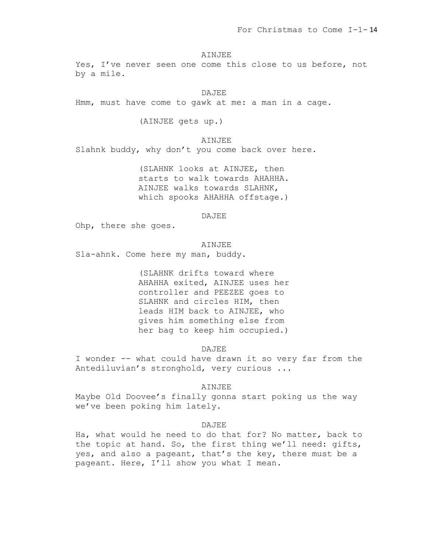AINJEE

Yes, I've never seen one come this close to us before, not by a mile.

DAJEE

Hmm, must have come to gawk at me: a man in a cage.

(AINJEE gets up.)

AINJEE Slahnk buddy, why don't you come back over here.

> (SLAHNK looks at AINJEE, then starts to walk towards AHAHHA. AINJEE walks towards SLAHNK, which spooks AHAHHA offstage.)

> > DAJEE

Ohp, there she goes.

AINJEE Sla-ahnk. Come here my man, buddy.

> (SLAHNK drifts toward where AHAHHA exited, AINJEE uses her controller and PEEZEE goes to SLAHNK and circles HIM, then leads HIM back to AINJEE, who gives him something else from her bag to keep him occupied.)

> > DAJEE

I wonder -- what could have drawn it so very far from the Antediluvian's stronghold, very curious ...

AINJEE

Maybe Old Doovee's finally gonna start poking us the way we've been poking him lately.

## DAJEE.

Ha, what would he need to do that for? No matter, back to the topic at hand. So, the first thing we'll need: gifts, yes, and also a pageant, that's the key, there must be a pageant. Here, I'll show you what I mean.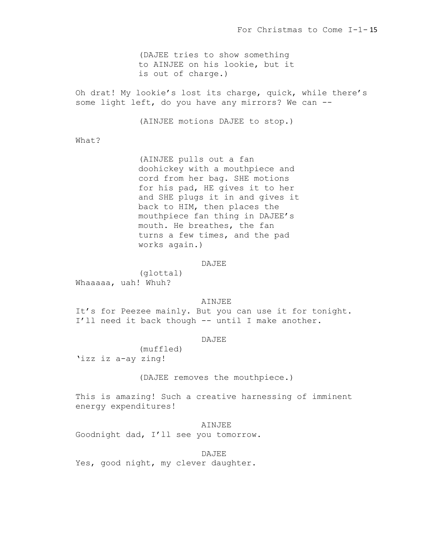(DAJEE tries to show something to AINJEE on his lookie, but it is out of charge.)

Oh drat! My lookie's lost its charge, quick, while there's some light left, do you have any mirrors? We can --

(AINJEE motions DAJEE to stop.)

What?

(AINJEE pulls out a fan doohickey with a mouthpiece and cord from her bag. SHE motions for his pad, HE gives it to her and SHE plugs it in and gives it back to HIM, then places the mouthpiece fan thing in DAJEE's mouth. He breathes, the fan turns a few times, and the pad works again.)

DAJEE

(glottal) Whaaaaa, uah! Whuh?

# AINJEE

It's for Peezee mainly. But you can use it for tonight. I'll need it back though -- until I make another.

# **DAJEE**

(muffled) 'izz iz a-ay zing!

(DAJEE removes the mouthpiece.)

This is amazing! Such a creative harnessing of imminent energy expenditures!

# AINJEE

Goodnight dad, I'll see you tomorrow.

DAJEE Yes, good night, my clever daughter.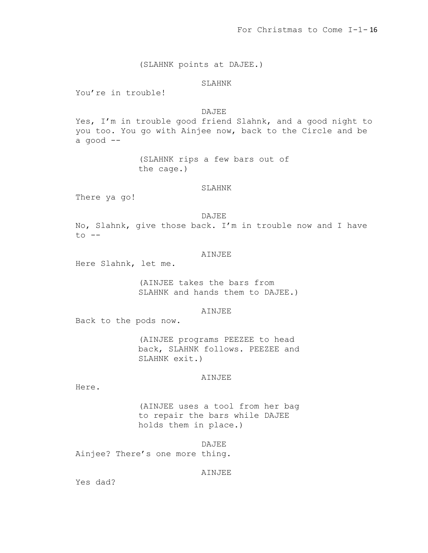(SLAHNK points at DAJEE.)

# SLAHNK

You're in trouble!

DAJEE

Yes, I'm in trouble good friend Slahnk, and a good night to you too. You go with Ainjee now, back to the Circle and be a good --

> (SLAHNK rips a few bars out of the cage.)

### SLAHNK

There ya go!

### DAJEE

No, Slahnk, give those back. I'm in trouble now and I have to --

# AINJEE

Here Slahnk, let me.

(AINJEE takes the bars from SLAHNK and hands them to DAJEE.)

# AINJEE

Back to the pods now.

(AINJEE programs PEEZEE to head back, SLAHNK follows. PEEZEE and SLAHNK exit.)

#### AINJEE

Here.

(AINJEE uses a tool from her bag to repair the bars while DAJEE holds them in place.)

DAJEE Ainjee? There's one more thing.

# AINJEE

Yes dad?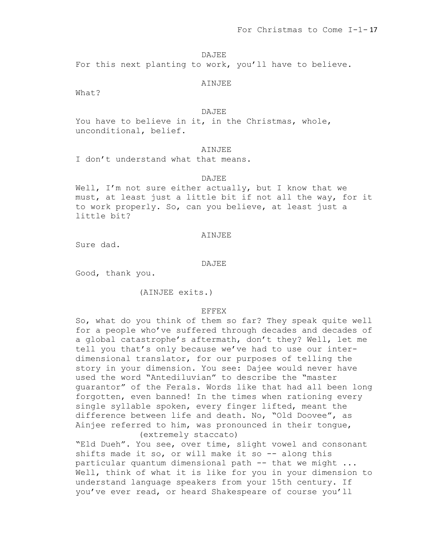### DAJEE

For this next planting to work, you'll have to believe.

### **AINJEE**

What?

# DAJEE

You have to believe in it, in the Christmas, whole, unconditional, belief.

# AINJEE

I don't understand what that means.

### DAJEE

Well, I'm not sure either actually, but I know that we must, at least just a little bit if not all the way, for it to work properly. So, can you believe, at least just a little bit?

### AINJEE

Sure dad.

#### DAJEE

Good, thank you.

(AINJEE exits.)

### EFFEX

So, what do you think of them so far? They speak quite well for a people who've suffered through decades and decades of a global catastrophe's aftermath, don't they? Well, let me tell you that's only because we've had to use our interdimensional translator, for our purposes of telling the story in your dimension. You see: Dajee would never have used the word "Antediluvian" to describe the "master guarantor" of the Ferals. Words like that had all been long forgotten, even banned! In the times when rationing every single syllable spoken, every finger lifted, meant the difference between life and death. No, "Old Doovee", as Ainjee referred to him, was pronounced in their tongue, (extremely staccato)

"Eld Dueh". You see, over time, slight vowel and consonant shifts made it so, or will make it so  $-$  along this particular quantum dimensional path -- that we might ... Well, think of what it is like for you in your dimension to understand language speakers from your 15th century. If you've ever read, or heard Shakespeare of course you'll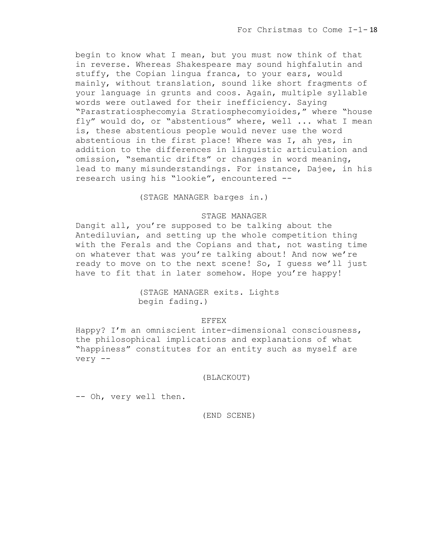begin to know what I mean, but you must now think of that in reverse. Whereas Shakespeare may sound highfalutin and stuffy, the Copian lingua franca, to your ears, would mainly, without translation, sound like short fragments of your language in grunts and coos. Again, multiple syllable words were outlawed for their inefficiency. Saying "Parastratiosphecomyia Stratiosphecomyioides," where "house fly" would do, or "abstentious" where, well ... what I mean is, these abstentious people would never use the word abstentious in the first place! Where was I, ah yes, in addition to the differences in linguistic articulation and omission, "semantic drifts" or changes in word meaning, lead to many misunderstandings. For instance, Dajee, in his research using his "lookie", encountered --

(STAGE MANAGER barges in.)

# STAGE MANAGER

Dangit all, you're supposed to be talking about the Antediluvian, and setting up the whole competition thing with the Ferals and the Copians and that, not wasting time on whatever that was you're talking about! And now we're ready to move on to the next scene! So, I guess we'll just have to fit that in later somehow. Hope you're happy!

# (STAGE MANAGER exits. Lights begin fading.)

# EFFEX

Happy? I'm an omniscient inter-dimensional consciousness, the philosophical implications and explanations of what "happiness" constitutes for an entity such as myself are very --

# (BLACKOUT)

-- Oh, very well then.

(END SCENE)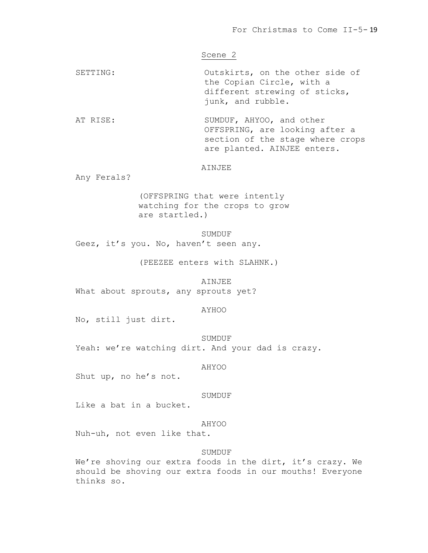# Scene 2

SETTING: Outskirts, on the other side of the Copian Circle, with a different strewing of sticks, junk, and rubble.

AT RISE: SUMDUF, AHYOO, and other OFFSPRING, are looking after a section of the stage where crops are planted. AINJEE enters.

### AINJEE

Any Ferals?

(OFFSPRING that were intently watching for the crops to grow are startled.)

SUMDUF

Geez, it's you. No, haven't seen any.

(PEEZEE enters with SLAHNK.)

AINJEE What about sprouts, any sprouts yet?

AYHOO

No, still just dirt.

SUMDUF Yeah: we're watching dirt. And your dad is crazy.

AHYOO

Shut up, no he's not.

# SUMDUF

Like a bat in a bucket.

#### AHYOO

Nuh-uh, not even like that.

### SUMDUF

We're shoving our extra foods in the dirt, it's crazy. We should be shoving our extra foods in our mouths! Everyone thinks so.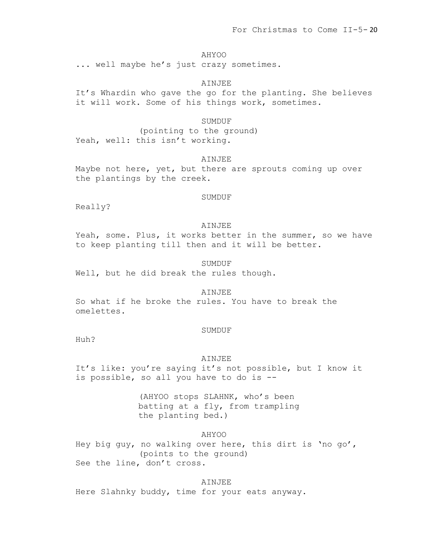AHYOO

... well maybe he's just crazy sometimes.

AINJEE

It's Whardin who gave the go for the planting. She believes it will work. Some of his things work, sometimes.

SUMDUF

(pointing to the ground) Yeah, well: this isn't working.

AINJEE

Maybe not here, yet, but there are sprouts coming up over the plantings by the creek.

SUMDUF

Really?

### AINJEE

Yeah, some. Plus, it works better in the summer, so we have to keep planting till then and it will be better.

SUMDUF

Well, but he did break the rules though.

# AINJEE

So what if he broke the rules. You have to break the omelettes.

### SUMDUF

Huh?

### AINJEE

It's like: you're saying it's not possible, but I know it is possible, so all you have to do is --

> (AHYOO stops SLAHNK, who's been batting at a fly, from trampling the planting bed.)

> > AHYOO

Hey big guy, no walking over here, this dirt is 'no go', (points to the ground) See the line, don't cross.

#### AINJEE

Here Slahnky buddy, time for your eats anyway.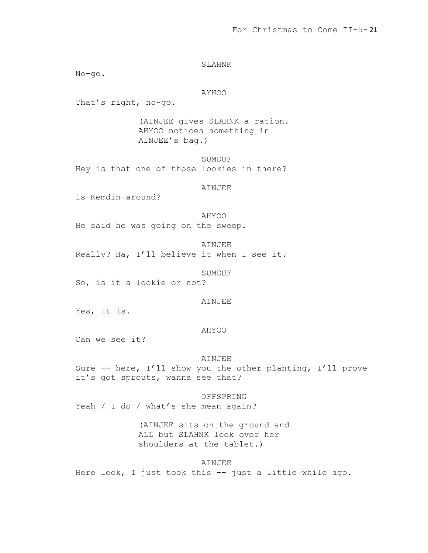SLAHNK No-go. AYHOO That's right, no-go. (AINJEE gives SLAHNK a ration. AHYOO notices something in AINJEE's bag.) SUMDUF Hey is that one of those lookies in there? AINJEE Is Kemdin around? AHYOO He said he was going on the sweep. AINJEE Really? Ha, I'll believe it when I see it. SUMDUF So, is it a lookie or not? AINJEE Yes, it is. AHYOO Can we see it? AINJEE Sure -- here, I'll show you the other planting, I'll prove it's got sprouts, wanna see that? OFFSPRING Yeah / I do / what's she mean again? (AINJEE sits on the ground and ALL but SLAHNK look over her shoulders at the tablet.) AINJEE Here look, I just took this -- just a little while ago.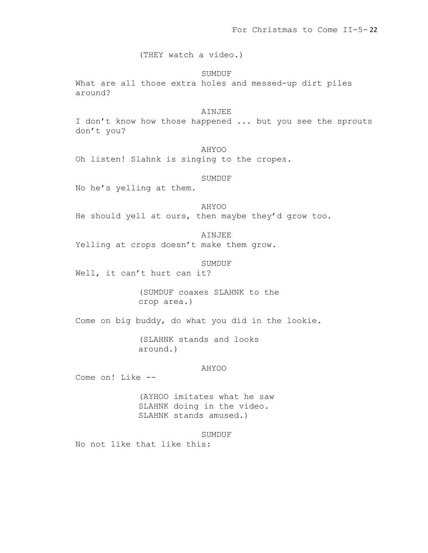(THEY watch a video.)

SUMDUF What are all those extra holes and messed-up dirt piles around?

# AINJEE I don't know how those happened ... but you see the sprouts don't you?

AHYOO Oh listen! Slahnk is singing to the cropes.

# SUMDUF

No he's yelling at them.

AHYOO He should yell at ours, then maybe they'd grow too.

AINJEE Yelling at crops doesn't make them grow.

#### SUMDUF

Well, it can't hurt can it?

(SUMDUF coaxes SLAHNK to the crop area.)

Come on big buddy, do what you did in the lookie.

(SLAHNK stands and looks around.)

# AHYOO

Come on! Like --

(AYHOO imitates what he saw SLAHNK doing in the video. SLAHNK stands amused.)

SUMDUF

No not like that like this: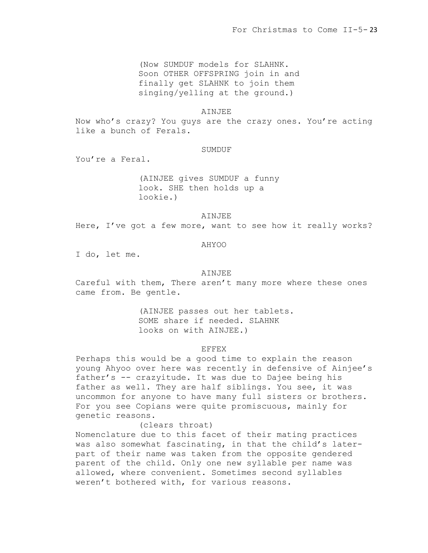(Now SUMDUF models for SLAHNK. Soon OTHER OFFSPRING join in and finally get SLAHNK to join them singing/yelling at the ground.)

#### AINJEE

Now who's crazy? You guys are the crazy ones. You're acting like a bunch of Ferals.

# SUMDUF

You're a Feral.

(AINJEE gives SUMDUF a funny look. SHE then holds up a lookie.)

AINJEE

Here, I've got a few more, want to see how it really works?

### AHYOO

I do, let me.

# AINJEE

Careful with them, There aren't many more where these ones came from. Be gentle.

> (AINJEE passes out her tablets. SOME share if needed. SLAHNK looks on with AINJEE.)

# EFFEX

Perhaps this would be a good time to explain the reason young Ahyoo over here was recently in defensive of Ainjee's father's -- crazyitude. It was due to Dajee being his father as well. They are half siblings. You see, it was uncommon for anyone to have many full sisters or brothers. For you see Copians were quite promiscuous, mainly for genetic reasons.

# (clears throat)

Nomenclature due to this facet of their mating practices was also somewhat fascinating, in that the child's laterpart of their name was taken from the opposite gendered parent of the child. Only one new syllable per name was allowed, where convenient. Sometimes second syllables weren't bothered with, for various reasons.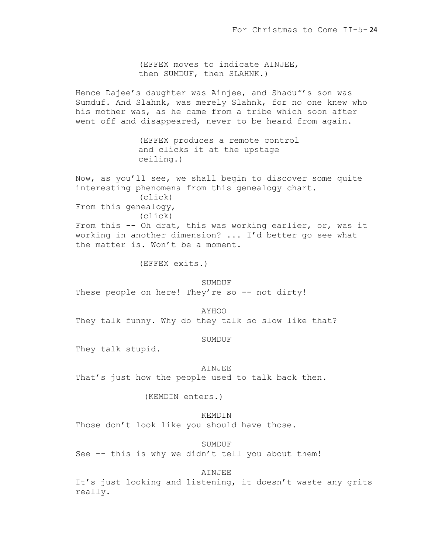(EFFEX moves to indicate AINJEE, then SUMDUF, then SLAHNK.)

Hence Dajee's daughter was Ainjee, and Shaduf's son was Sumduf. And Slahnk, was merely Slahnk, for no one knew who his mother was, as he came from a tribe which soon after went off and disappeared, never to be heard from again.

> (EFFEX produces a remote control and clicks it at the upstage ceiling.)

Now, as you'll see, we shall begin to discover some quite interesting phenomena from this genealogy chart. (click) From this genealogy, (click) From this -- Oh drat, this was working earlier, or, was it

working in another dimension? ... I'd better go see what the matter is. Won't be a moment.

(EFFEX exits.)

### **SUMDUF**

These people on here! They're so -- not dirty!

AYHOO

They talk funny. Why do they talk so slow like that?

## SUMDUF

They talk stupid.

#### AINJEE

That's just how the people used to talk back then.

(KEMDIN enters.)

KEMDIN

Those don't look like you should have those.

SUMDUF

See  $-$ - this is why we didn't tell you about them!

# AINJEE

It's just looking and listening, it doesn't waste any grits really.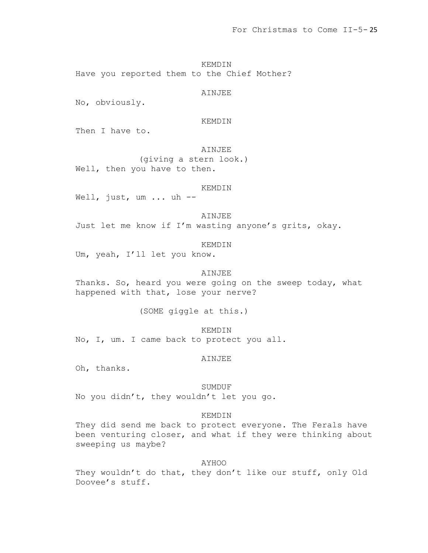KEMDIN Have you reported them to the Chief Mother?

AINJEE

No, obviously.

KEMDIN

Then I have to.

AINJEE

(giving a stern look.) Well, then you have to then.

KEMDIN

Well, just, um ... uh --

AINJEE

Just let me know if I'm wasting anyone's grits, okay.

KEMDIN

Um, yeah, I'll let you know.

AINJEE

Thanks. So, heard you were going on the sweep today, what happened with that, lose your nerve?

(SOME giggle at this.)

KEMDIN No, I, um. I came back to protect you all.

AINJEE

Oh, thanks.

SUMDUF

No you didn't, they wouldn't let you go.

KEMDIN

They did send me back to protect everyone. The Ferals have been venturing closer, and what if they were thinking about sweeping us maybe?

AYHOO

They wouldn't do that, they don't like our stuff, only Old Doovee's stuff.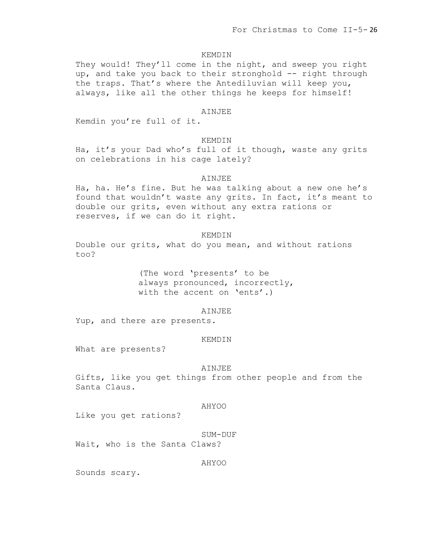### KEMDIN

They would! They'll come in the night, and sweep you right up, and take you back to their stronghold -- right through the traps. That's where the Antediluvian will keep you, always, like all the other things he keeps for himself!

# AINJEE

Kemdin you're full of it.

# KEMDIN

Ha, it's your Dad who's full of it though, waste any grits on celebrations in his cage lately?

### AINJEE

Ha, ha. He's fine. But he was talking about a new one he's found that wouldn't waste any grits. In fact, it's meant to double our grits, even without any extra rations or reserves, if we can do it right.

### KEMDIN

Double our grits, what do you mean, and without rations too?

> (The word 'presents' to be always pronounced, incorrectly, with the accent on 'ents'.)

### AINJEE

Yup, and there are presents.

## KEMDIN

What are presents?

#### AINJEE

Gifts, like you get things from other people and from the Santa Claus.

### AHYOO

Like you get rations?

#### SUM-DUF

Wait, who is the Santa Claws?

AHYOO

Sounds scary.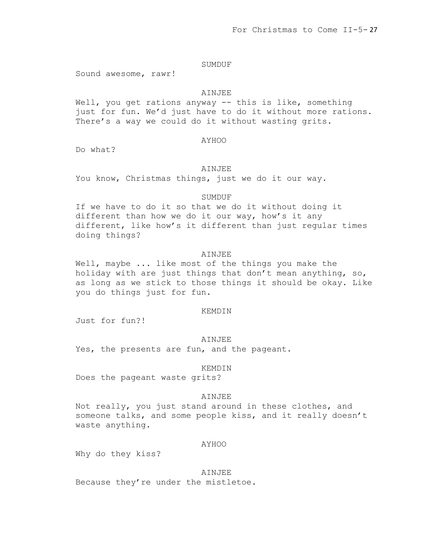# SUMDUF

Sound awesome, rawr!

# AINJEE

Well, you get rations anyway -- this is like, something just for fun. We'd just have to do it without more rations. There's a way we could do it without wasting grits.

### AYHOO

Do what?

### AINJEE

You know, Christmas things, just we do it our way.

## SUMDUF

If we have to do it so that we do it without doing it different than how we do it our way, how's it any different, like how's it different than just regular times doing things?

# AINJEE

Well, maybe ... like most of the things you make the holiday with are just things that don't mean anything, so, as long as we stick to those things it should be okay. Like you do things just for fun.

### KEMDIN

Just for fun?!

### **AINJEE**

Yes, the presents are fun, and the pageant.

#### KEMDIN

Does the pageant waste grits?

### AINJEE

Not really, you just stand around in these clothes, and someone talks, and some people kiss, and it really doesn't waste anything.

#### AYHOO

Why do they kiss?

### AINJEE

Because they're under the mistletoe.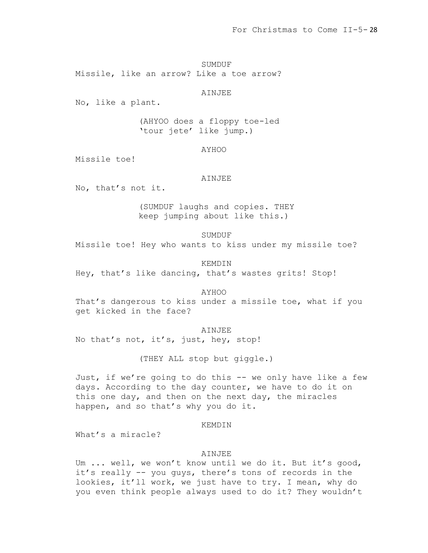SUMDUF Missile, like an arrow? Like a toe arrow?

AINJEE

No, like a plant.

(AHYOO does a floppy toe-led 'tour jete' like jump.)

AYHOO

Missile toe!

### AINJEE

No, that's not it.

(SUMDUF laughs and copies. THEY keep jumping about like this.)

SUMDUF

Missile toe! Hey who wants to kiss under my missile toe?

KEMDIN Hey, that's like dancing, that's wastes grits! Stop!

AYHOO

That's dangerous to kiss under a missile toe, what if you get kicked in the face?

AINJEE

No that's not, it's, just, hey, stop!

(THEY ALL stop but giggle.)

Just, if we're going to do this -- we only have like a few days. According to the day counter, we have to do it on this one day, and then on the next day, the miracles happen, and so that's why you do it.

KEMDIN

What's a miracle?

# AINJEE

Um ... well, we won't know until we do it. But it's good, it's really -- you guys, there's tons of records in the lookies, it'll work, we just have to try. I mean, why do you even think people always used to do it? They wouldn't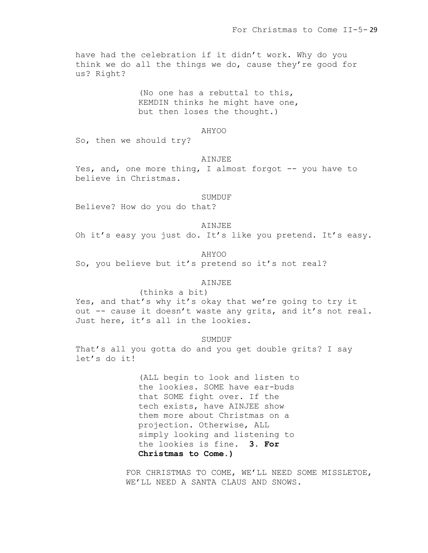have had the celebration if it didn't work. Why do you think we do all the things we do, cause they're good for us? Right?

> (No one has a rebuttal to this, KEMDIN thinks he might have one, but then loses the thought.)

### AHYOO

So, then we should try?

#### AINJEE

Yes, and, one more thing, I almost forgot -- you have to believe in Christmas.

### SUMDUF

Believe? How do you do that?

### AINJEE

Oh it's easy you just do. It's like you pretend. It's easy.

AHYOO

So, you believe but it's pretend so it's not real?

### **AINJEE**

### (thinks a bit)

Yes, and that's why it's okay that we're going to try it out -- cause it doesn't waste any grits, and it's not real. Just here, it's all in the lookies.

### SUMDUF

That's all you gotta do and you get double grits? I say let's do it!

> (ALL begin to look and listen to the lookies. SOME have ear-buds that SOME fight over. If the tech exists, have AINJEE show them more about Christmas on a projection. Otherwise, ALL simply looking and listening to the lookies is fine. **3. For Christmas to Come.)**

FOR CHRISTMAS TO COME, WE'LL NEED SOME MISSLETOE, WE'LL NEED A SANTA CLAUS AND SNOWS.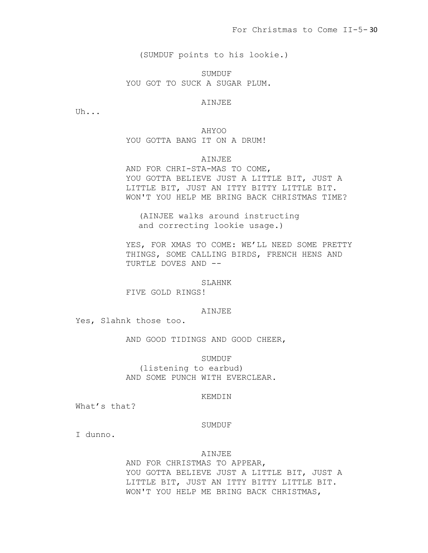(SUMDUF points to his lookie.)

SUMDUF YOU GOT TO SUCK A SUGAR PLUM.

# AINJEE

Uh...

# AHYOO

YOU GOTTA BANG IT ON A DRUM!

# AINJEE

AND FOR CHRI-STA-MAS TO COME, YOU GOTTA BELIEVE JUST A LITTLE BIT, JUST A LITTLE BIT, JUST AN ITTY BITTY LITTLE BIT. WON'T YOU HELP ME BRING BACK CHRISTMAS TIME?

(AINJEE walks around instructing and correcting lookie usage.)

YES, FOR XMAS TO COME: WE'LL NEED SOME PRETTY THINGS, SOME CALLING BIRDS, FRENCH HENS AND TURTLE DOVES AND --

#### SLAHNK

FIVE GOLD RINGS!

### AINJEE

Yes, Slahnk those too.

AND GOOD TIDINGS AND GOOD CHEER,

### SUMDUF

(listening to earbud) AND SOME PUNCH WITH EVERCLEAR.

### KEMDIN

What's that?

#### SUMDUF

I dunno.

# AINJEE

AND FOR CHRISTMAS TO APPEAR, YOU GOTTA BELIEVE JUST A LITTLE BIT, JUST A LITTLE BIT, JUST AN ITTY BITTY LITTLE BIT. WON'T YOU HELP ME BRING BACK CHRISTMAS,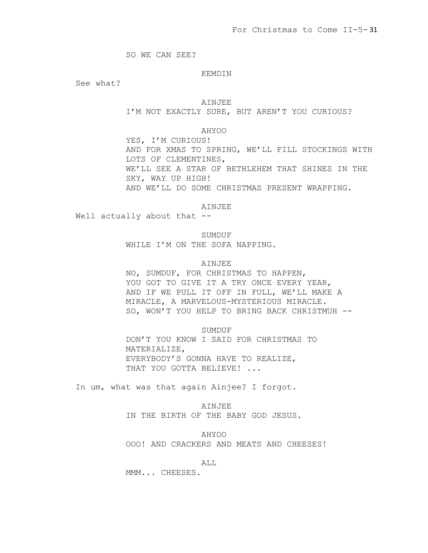SO WE CAN SEE?

## KEMDIN

See what?

#### AINJEE

I'M NOT EXACTLY SURE, BUT AREN'T YOU CURIOUS?

# AHYOO

YES, I'M CURIOUS! AND FOR XMAS TO SPRING, WE'LL FILL STOCKINGS WITH LOTS OF CLEMENTINES, WE'LL SEE A STAR OF BETHLEHEM THAT SHINES IN THE SKY, WAY UP HIGH! AND WE'LL DO SOME CHRISTMAS PRESENT WRAPPING.

AINJEE

Well actually about that --

SUMDUF

WHILE I'M ON THE SOFA NAPPING.

### AINJEE

NO, SUMDUF, FOR CHRISTMAS TO HAPPEN, YOU GOT TO GIVE IT A TRY ONCE EVERY YEAR, AND IF WE PULL IT OFF IN FULL, WE'LL MAKE A MIRACLE, A MARVELOUS-MYSTERIOUS MIRACLE. SO, WON'T YOU HELP TO BRING BACK CHRISTMUH --

# SUMDUF

DON'T YOU KNOW I SAID FOR CHRISTMAS TO MATERIALIZE, EVERYBODY'S GONNA HAVE TO REALIZE, THAT YOU GOTTA BELIEVE! ...

In um, what was that again Ainjee? I forgot.

AINJEE IN THE BIRTH OF THE BABY GOD JESUS.

AHYOO

OOO! AND CRACKERS AND MEATS AND CHEESES!

# ALL

MMM... CHEESES.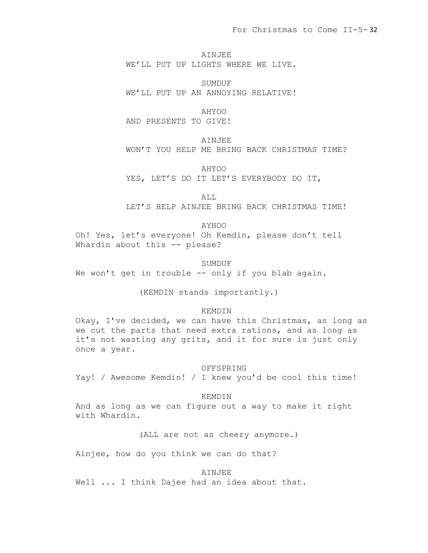AINJEE WE'LL PUT UP LIGHTS WHERE WE LIVE.

SUMDUF WE'LL PUT UP AN ANNOYING RELATIVE!

AHYOO

AND PRESENTS TO GIVE!

AINJEE

WON'T YOU HELP ME BRING BACK CHRISTMAS TIME?

AHYOO

YES, LET'S DO IT LET'S EVERYBODY DO IT,

ALL

LET'S HELP AINJEE BRING BACK CHRISTMAS TIME!

# AYHOO

Oh! Yes, let's everyone! Oh Kemdin, please don't tell Whardin about this -- please?

SUMDUF

We won't get in trouble -- only if you blab again.

(KEMDIN stands importantly.)

# KEMDIN

Okay, I've decided, we can have this Christmas, as long as we cut the parts that need extra rations, and as long as it's not wasting any grits, and it for sure is just only once a year.

# OFFSPRING

Yay! / Awesome Kemdin! / I knew you'd be cool this time!

# KEMDIN

And as long as we can figure out a way to make it right with Whardin.

(ALL are not as cheery anymore.)

Ainjee, how do you think we can do that?

# AINJEE

Well ... I think Dajee had an idea about that.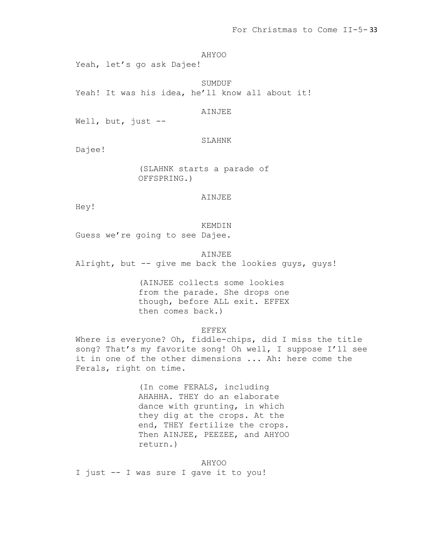AHYOO

Yeah, let's go ask Dajee!

SUMDUF Yeah! It was his idea, he'll know all about it!

AINJEE

Well, but, just --

SLAHNK

Dajee!

(SLAHNK starts a parade of OFFSPRING.)

AINJEE

Hey!

KEMDIN

Guess we're going to see Dajee.

AINJEE Alright, but -- give me back the lookies guys, guys!

> (AINJEE collects some lookies from the parade. She drops one though, before ALL exit. EFFEX then comes back.)

> > EFFEX

Where is everyone? Oh, fiddle-chips, did I miss the title song? That's my favorite song! Oh well, I suppose I'll see it in one of the other dimensions ... Ah: here come the Ferals, right on time.

> (In come FERALS, including AHAHHA. THEY do an elaborate dance with grunting, in which they dig at the crops. At the end, THEY fertilize the crops. Then AINJEE, PEEZEE, and AHYOO return.)

AHYOO I just -- I was sure I gave it to you!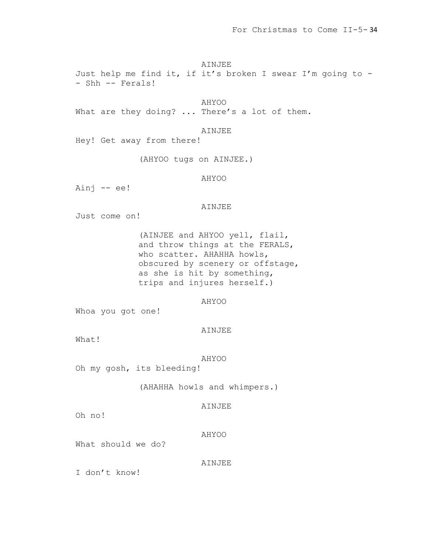# AINJEE

Just help me find it, if it's broken I swear I'm going to - - Shh -- Ferals!

AHYOO What are they doing? ... There's a lot of them.

# AINJEE

Hey! Get away from there!

(AHYOO tugs on AINJEE.)

# AHYOO

Ainj -- ee!

# AINJEE

Just come on!

(AINJEE and AHYOO yell, flail, and throw things at the FERALS, who scatter. AHAHHA howls, obscured by scenery or offstage, as she is hit by something, trips and injures herself.)

# AHYOO

Whoa you got one!

# AINJEE

What!

# AHYOO

Oh my gosh, its bleeding!

# (AHAHHA howls and whimpers.)

# AINJEE

Oh no!

# AHYOO

What should we do?

AINJEE

I don't know!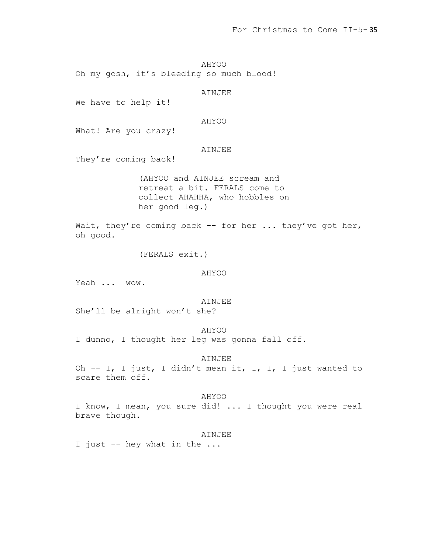AHYOO Oh my gosh, it's bleeding so much blood!

AINJEE

We have to help it!

### AHYOO

What! Are you crazy!

# AINJEE

They're coming back!

(AHYOO and AINJEE scream and retreat a bit. FERALS come to collect AHAHHA, who hobbles on her good leg.)

Wait, they're coming back  $-$  for her ... they've got her, oh good.

(FERALS exit.)

### AHYOO

Yeah ... wow.

### AINJEE

She'll be alright won't she?

#### AHYOO

I dunno, I thought her leg was gonna fall off.

# AINJEE

Oh -- I, I just, I didn't mean it, I, I, I just wanted to scare them off.

### AHYOO

I know, I mean, you sure did! ... I thought you were real brave though.

### AINJEE

I just -- hey what in the ...